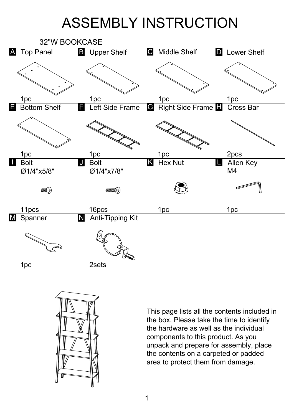## ASSEMBLY INSTRUCTION





This page lists all the contents included in the box. Please take the time to identify the hardware as well as the individual components to this product. As you unpack and prepare for assembly, place the contents on a carpeted or padded area to protect them from damage.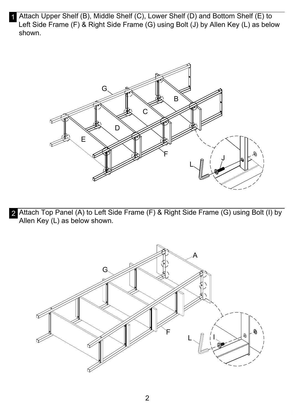1 Attach Upper Shelf (B), Middle Shelf (C), Lower Shelf (D) and Bottom Shelf (E) to Left Side Frame (F) & Right Side Frame (G) using Bolt (J) by Allen Key (L) as below shown.



2 Attach Top Panel (A) to Left Side Frame (F) & Right Side Frame (G) using Bolt (I) by Allen Key (L) as below shown.

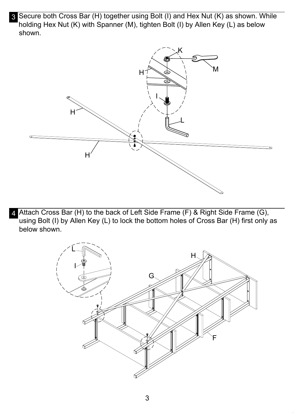3 Secure both Cross Bar (H) together using Bolt (I) and Hex Nut (K) as shown. While holding Hex Nut (K) with Spanner (M), tighten Bolt (I) by Allen Key (L) as below shown.



4 Attach Cross Bar (H) to the back of Left Side Frame (F) & Right Side Frame (G), using Bolt (I) by Allen Key (L) to lock the bottom holes of Cross Bar (H) first only as below shown.